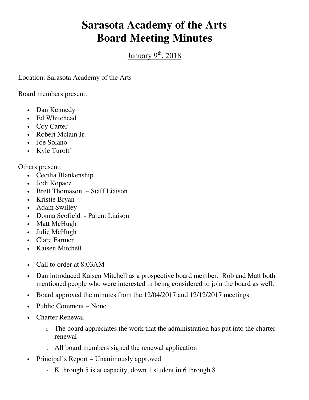## **Sarasota Academy of the Arts Board Meeting Minutes**

January  $9<sup>th</sup>$ , 2018

Location: Sarasota Academy of the Arts

Board members present:

- Dan Kennedy
- Ed Whitehead
- Coy Carter
- Robert Mclain Jr.
- Joe Solano
- Kyle Turoff

Others present:

- Cecilia Blankenship
- Jodi Kopacz
- Brett Thomason Staff Liaison
- Kristie Bryan
- Adam Swilley
- Donna Scofield Parent Liaison
- Matt McHugh
- Julie McHugh
- Clare Farmer
- Kaisen Mitchell
- Call to order at 8:03AM
- Dan introduced Kaisen Mitchell as a prospective board member. Rob and Matt both mentioned people who were interested in being considered to join the board as well.
- Board approved the minutes from the 12/04/2017 and 12/12/2017 meetings
- Public Comment None
- Charter Renewal
	- $\circ$  The board appreciates the work that the administration has put into the charter renewal
	- o All board members signed the renewal application
- Principal's Report Unanimously approved
	- $\circ$  K through 5 is at capacity, down 1 student in 6 through 8